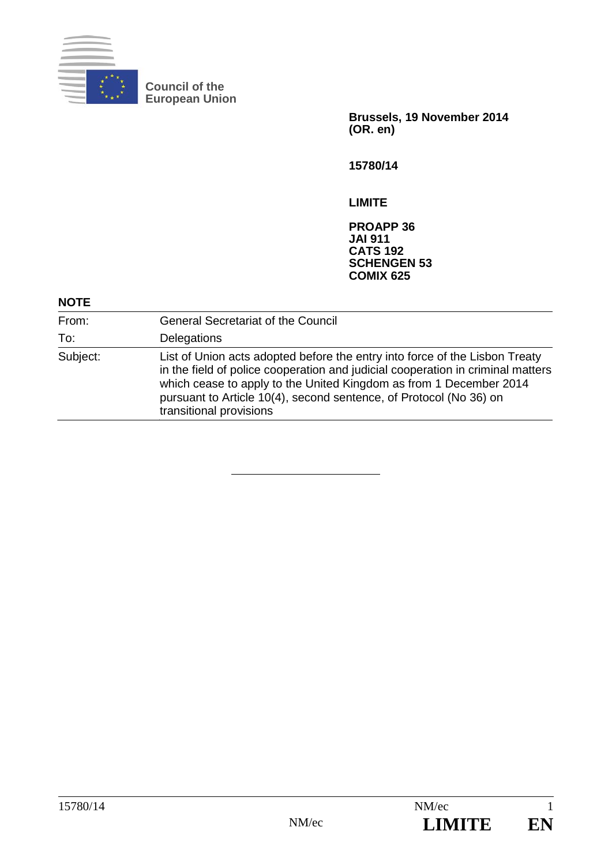

**Council of the European Union** 

> **Brussels, 19 November 2014 (OR. en)**

**15780/14** 

**LIMITE** 

**PROAPP 36 JAI 911 CATS 192 SCHENGEN 53 COMIX 625** 

## **NOTE**

| From:    | <b>General Secretariat of the Council</b>                                                                                                                                                                                                                                                                                             |
|----------|---------------------------------------------------------------------------------------------------------------------------------------------------------------------------------------------------------------------------------------------------------------------------------------------------------------------------------------|
| To:      | Delegations                                                                                                                                                                                                                                                                                                                           |
| Subject: | List of Union acts adopted before the entry into force of the Lisbon Treaty<br>in the field of police cooperation and judicial cooperation in criminal matters<br>which cease to apply to the United Kingdom as from 1 December 2014<br>pursuant to Article 10(4), second sentence, of Protocol (No 36) on<br>transitional provisions |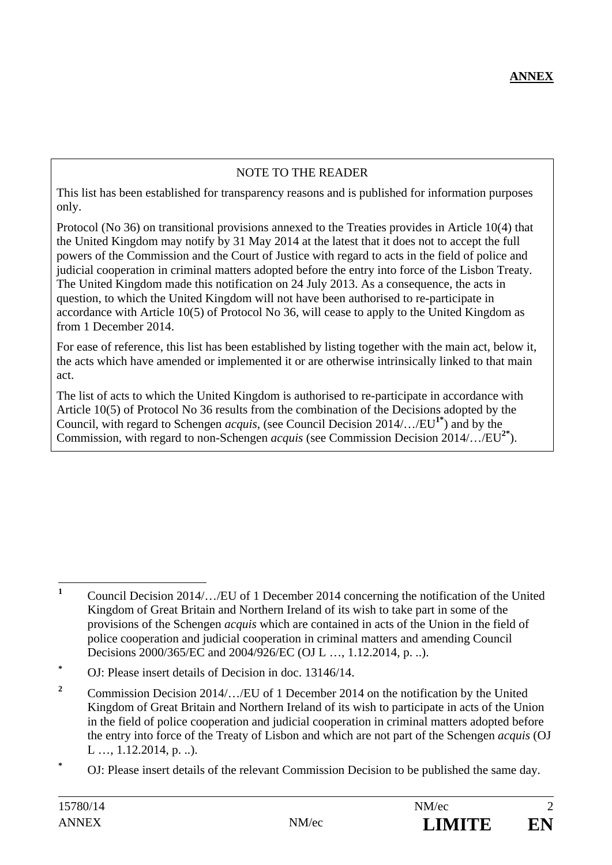## NOTE TO THE READER

This list has been established for transparency reasons and is published for information purposes only.

Protocol (No 36) on transitional provisions annexed to the Treaties provides in Article 10(4) that the United Kingdom may notify by 31 May 2014 at the latest that it does not to accept the full powers of the Commission and the Court of Justice with regard to acts in the field of police and judicial cooperation in criminal matters adopted before the entry into force of the Lisbon Treaty. The United Kingdom made this notification on 24 July 2013. As a consequence, the acts in question, to which the United Kingdom will not have been authorised to re-participate in accordance with Article 10(5) of Protocol No 36, will cease to apply to the United Kingdom as from 1 December 2014.

For ease of reference, this list has been established by listing together with the main act, below it, the acts which have amended or implemented it or are otherwise intrinsically linked to that main act.

The list of acts to which the United Kingdom is authorised to re-participate in accordance with Article 10(5) of Protocol No 36 results from the combination of the Decisions adopted by the Council, with regard to Schengen *acquis*, (see Council Decision 2014/…/EU**1\***) and by the Commission, with regard to non-Schengen *acquis* (see Commission Decision 2014/…/EU**2\***).

 **1** Council Decision 2014/…/EU of 1 December 2014 concerning the notification of the United Kingdom of Great Britain and Northern Ireland of its wish to take part in some of the provisions of the Schengen *acquis* which are contained in acts of the Union in the field of police cooperation and judicial cooperation in criminal matters and amending Council Decisions 2000/365/EC and 2004/926/EC (OJ L …, 1.12.2014, p. ..).

**<sup>\*</sup>** OJ: Please insert details of Decision in doc. 13146/14.

**<sup>2</sup>** Commission Decision 2014/…/EU of 1 December 2014 on the notification by the United Kingdom of Great Britain and Northern Ireland of its wish to participate in acts of the Union in the field of police cooperation and judicial cooperation in criminal matters adopted before the entry into force of the Treaty of Lisbon and which are not part of the Schengen *acquis* (OJ L …, 1.12.2014, p. ..).

**<sup>\*</sup>** OJ: Please insert details of the relevant Commission Decision to be published the same day.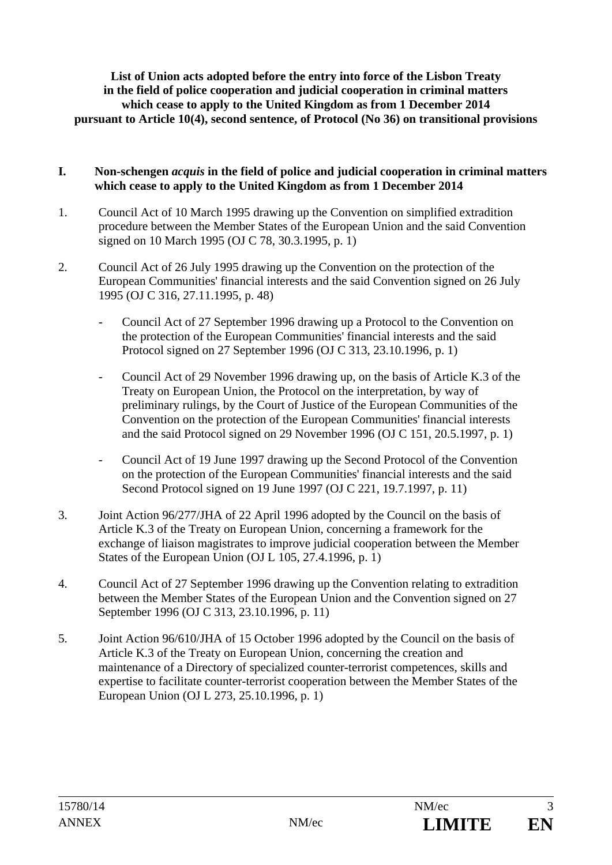**List of Union acts adopted before the entry into force of the Lisbon Treaty in the field of police cooperation and judicial cooperation in criminal matters which cease to apply to the United Kingdom as from 1 December 2014 pursuant to Article 10(4), second sentence, of Protocol (No 36) on transitional provisions** 

## **I. Non-schengen** *acquis* **in the field of police and judicial cooperation in criminal matters which cease to apply to the United Kingdom as from 1 December 2014**

- 1. Council Act of 10 March 1995 drawing up the Convention on simplified extradition procedure between the Member States of the European Union and the said Convention signed on 10 March 1995 (OJ C 78, 30.3.1995, p. 1)
- 2. Council Act of 26 July 1995 drawing up the Convention on the protection of the European Communities' financial interests and the said Convention signed on 26 July 1995 (OJ C 316, 27.11.1995, p. 48)
	- Council Act of 27 September 1996 drawing up a Protocol to the Convention on the protection of the European Communities' financial interests and the said Protocol signed on 27 September 1996 (OJ C 313, 23.10.1996, p. 1)
	- Council Act of 29 November 1996 drawing up, on the basis of Article K.3 of the Treaty on European Union, the Protocol on the interpretation, by way of preliminary rulings, by the Court of Justice of the European Communities of the Convention on the protection of the European Communities' financial interests and the said Protocol signed on 29 November 1996 (OJ C 151, 20.5.1997, p. 1)
	- Council Act of 19 June 1997 drawing up the Second Protocol of the Convention on the protection of the European Communities' financial interests and the said Second Protocol signed on 19 June 1997 (OJ C 221, 19.7.1997, p. 11)
- 3. Joint Action 96/277/JHA of 22 April 1996 adopted by the Council on the basis of Article K.3 of the Treaty on European Union, concerning a framework for the exchange of liaison magistrates to improve judicial cooperation between the Member States of the European Union (OJ L 105, 27.4.1996, p. 1)
- 4. Council Act of 27 September 1996 drawing up the Convention relating to extradition between the Member States of the European Union and the Convention signed on 27 September 1996 (OJ C 313, 23.10.1996, p. 11)
- 5. Joint Action 96/610/JHA of 15 October 1996 adopted by the Council on the basis of Article K.3 of the Treaty on European Union, concerning the creation and maintenance of a Directory of specialized counter-terrorist competences, skills and expertise to facilitate counter-terrorist cooperation between the Member States of the European Union (OJ L 273, 25.10.1996, p. 1)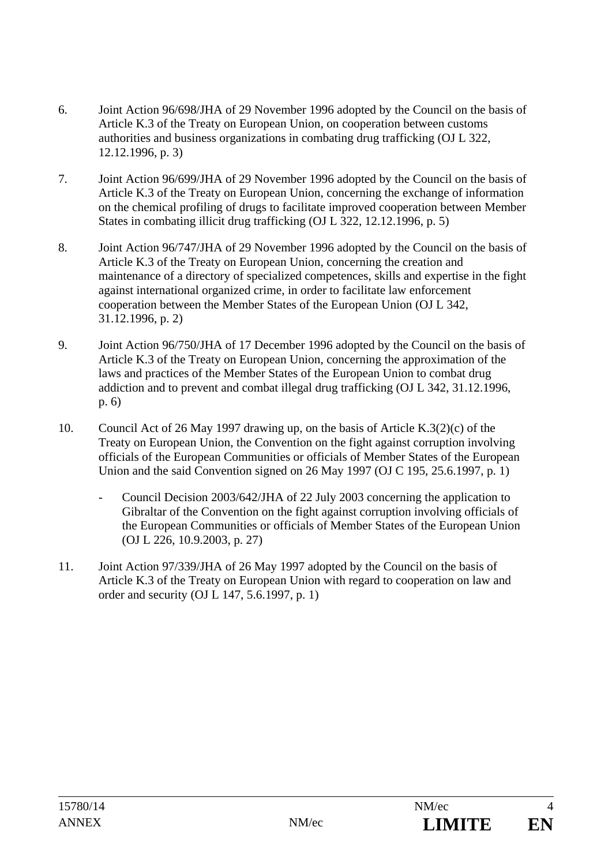- 6. Joint Action 96/698/JHA of 29 November 1996 adopted by the Council on the basis of Article K.3 of the Treaty on European Union, on cooperation between customs authorities and business organizations in combating drug trafficking (OJ L 322, 12.12.1996, p. 3)
- 7. Joint Action 96/699/JHA of 29 November 1996 adopted by the Council on the basis of Article K.3 of the Treaty on European Union, concerning the exchange of information on the chemical profiling of drugs to facilitate improved cooperation between Member States in combating illicit drug trafficking (OJ L 322, 12.12.1996, p. 5)
- 8. Joint Action 96/747/JHA of 29 November 1996 adopted by the Council on the basis of Article K.3 of the Treaty on European Union, concerning the creation and maintenance of a directory of specialized competences, skills and expertise in the fight against international organized crime, in order to facilitate law enforcement cooperation between the Member States of the European Union (OJ L 342, 31.12.1996, p. 2)
- 9. Joint Action 96/750/JHA of 17 December 1996 adopted by the Council on the basis of Article K.3 of the Treaty on European Union, concerning the approximation of the laws and practices of the Member States of the European Union to combat drug addiction and to prevent and combat illegal drug trafficking (OJ L 342, 31.12.1996, p. 6)
- 10. Council Act of 26 May 1997 drawing up, on the basis of Article K.3(2)(c) of the Treaty on European Union, the Convention on the fight against corruption involving officials of the European Communities or officials of Member States of the European Union and the said Convention signed on 26 May 1997 (OJ C 195, 25.6.1997, p. 1)
	- Council Decision 2003/642/JHA of 22 July 2003 concerning the application to Gibraltar of the Convention on the fight against corruption involving officials of the European Communities or officials of Member States of the European Union (OJ L 226, 10.9.2003, p. 27)
- 11. Joint Action 97/339/JHA of 26 May 1997 adopted by the Council on the basis of Article K.3 of the Treaty on European Union with regard to cooperation on law and order and security (OJ L 147, 5.6.1997, p. 1)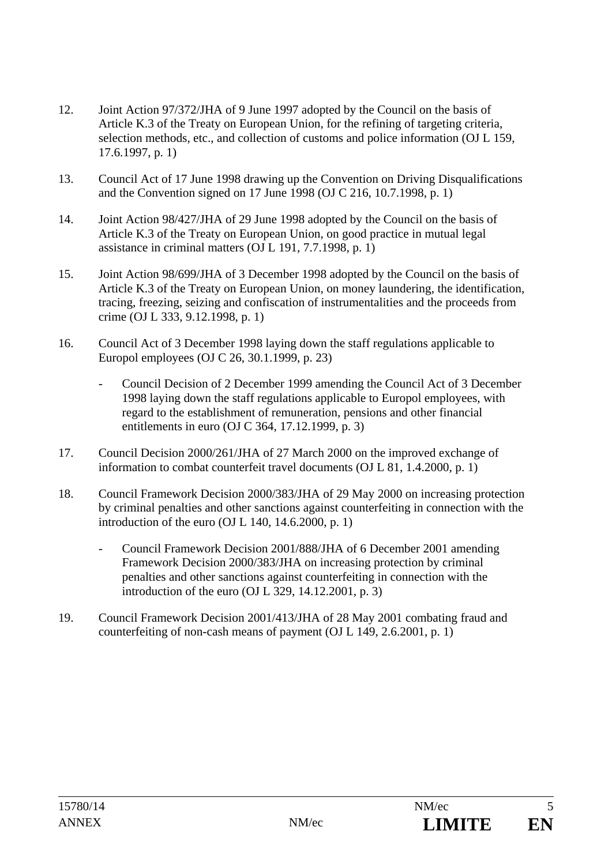- 12. Joint Action 97/372/JHA of 9 June 1997 adopted by the Council on the basis of Article K.3 of the Treaty on European Union, for the refining of targeting criteria, selection methods, etc., and collection of customs and police information (OJ L 159, 17.6.1997, p. 1)
- 13. Council Act of 17 June 1998 drawing up the Convention on Driving Disqualifications and the Convention signed on 17 June 1998 (OJ C 216, 10.7.1998, p. 1)
- 14. Joint Action 98/427/JHA of 29 June 1998 adopted by the Council on the basis of Article K.3 of the Treaty on European Union, on good practice in mutual legal assistance in criminal matters (OJ L 191, 7.7.1998, p. 1)
- 15. Joint Action 98/699/JHA of 3 December 1998 adopted by the Council on the basis of Article K.3 of the Treaty on European Union, on money laundering, the identification, tracing, freezing, seizing and confiscation of instrumentalities and the proceeds from crime (OJ L 333, 9.12.1998, p. 1)
- 16. Council Act of 3 December 1998 laying down the staff regulations applicable to Europol employees (OJ C 26, 30.1.1999, p. 23)
	- Council Decision of 2 December 1999 amending the Council Act of 3 December 1998 laying down the staff regulations applicable to Europol employees, with regard to the establishment of remuneration, pensions and other financial entitlements in euro (OJ C 364, 17.12.1999, p. 3)
- 17. Council Decision 2000/261/JHA of 27 March 2000 on the improved exchange of information to combat counterfeit travel documents (OJ L 81, 1.4.2000, p. 1)
- 18. Council Framework Decision 2000/383/JHA of 29 May 2000 on increasing protection by criminal penalties and other sanctions against counterfeiting in connection with the introduction of the euro (OJ L 140, 14.6.2000, p. 1)
	- Council Framework Decision 2001/888/JHA of 6 December 2001 amending Framework Decision 2000/383/JHA on increasing protection by criminal penalties and other sanctions against counterfeiting in connection with the introduction of the euro (OJ L 329, 14.12.2001, p. 3)
- 19. Council Framework Decision 2001/413/JHA of 28 May 2001 combating fraud and counterfeiting of non-cash means of payment (OJ L 149, 2.6.2001, p. 1)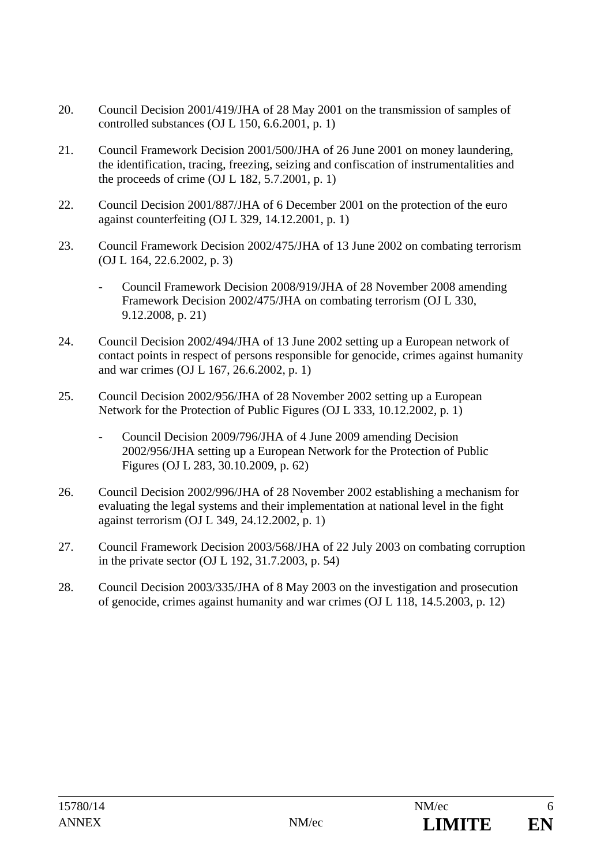- 20. Council Decision 2001/419/JHA of 28 May 2001 on the transmission of samples of controlled substances (OJ L 150, 6.6.2001, p. 1)
- 21. Council Framework Decision 2001/500/JHA of 26 June 2001 on money laundering, the identification, tracing, freezing, seizing and confiscation of instrumentalities and the proceeds of crime  $(OJ L 182, 5.7.2001, p. 1)$
- 22. Council Decision 2001/887/JHA of 6 December 2001 on the protection of the euro against counterfeiting (OJ L 329, 14.12.2001, p. 1)
- 23. Council Framework Decision 2002/475/JHA of 13 June 2002 on combating terrorism (OJ L 164, 22.6.2002, p. 3)
	- Council Framework Decision 2008/919/JHA of 28 November 2008 amending Framework Decision 2002/475/JHA on combating terrorism (OJ L 330, 9.12.2008, p. 21)
- 24. Council Decision 2002/494/JHA of 13 June 2002 setting up a European network of contact points in respect of persons responsible for genocide, crimes against humanity and war crimes (OJ L 167, 26.6.2002, p. 1)
- 25. Council Decision 2002/956/JHA of 28 November 2002 setting up a European Network for the Protection of Public Figures (OJ L 333, 10.12.2002, p. 1)
	- Council Decision 2009/796/JHA of 4 June 2009 amending Decision 2002/956/JHA setting up a European Network for the Protection of Public Figures (OJ L 283, 30.10.2009, p. 62)
- 26. Council Decision 2002/996/JHA of 28 November 2002 establishing a mechanism for evaluating the legal systems and their implementation at national level in the fight against terrorism (OJ L 349, 24.12.2002, p. 1)
- 27. Council Framework Decision 2003/568/JHA of 22 July 2003 on combating corruption in the private sector (OJ L 192, 31.7.2003, p. 54)
- 28. Council Decision 2003/335/JHA of 8 May 2003 on the investigation and prosecution of genocide, crimes against humanity and war crimes (OJ L 118, 14.5.2003, p. 12)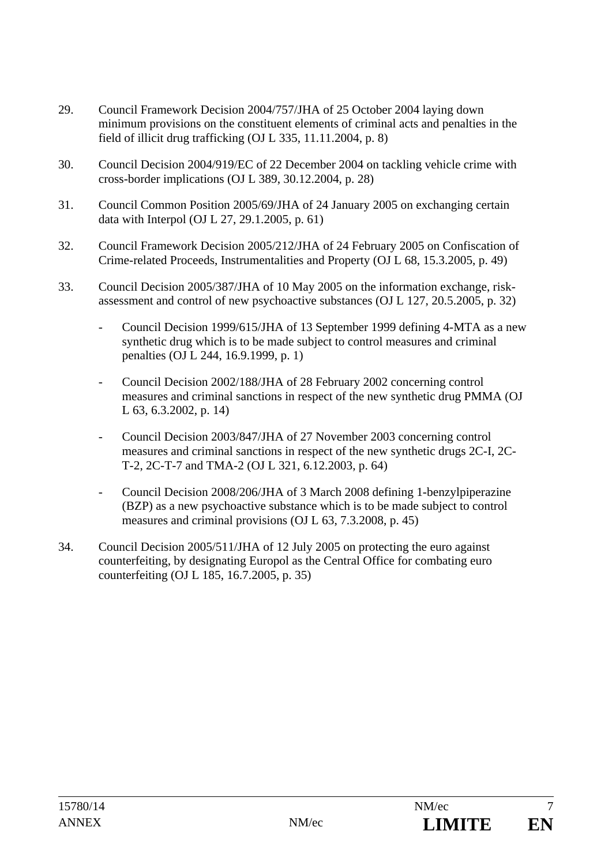- 29. Council Framework Decision 2004/757/JHA of 25 October 2004 laying down minimum provisions on the constituent elements of criminal acts and penalties in the field of illicit drug trafficking (OJ L 335, 11.11.2004, p. 8)
- 30. Council Decision 2004/919/EC of 22 December 2004 on tackling vehicle crime with cross-border implications (OJ L 389, 30.12.2004, p. 28)
- 31. Council Common Position 2005/69/JHA of 24 January 2005 on exchanging certain data with Interpol (OJ L 27, 29.1.2005, p. 61)
- 32. Council Framework Decision 2005/212/JHA of 24 February 2005 on Confiscation of Crime-related Proceeds, Instrumentalities and Property (OJ L 68, 15.3.2005, p. 49)
- 33. Council Decision 2005/387/JHA of 10 May 2005 on the information exchange, riskassessment and control of new psychoactive substances (OJ L 127, 20.5.2005, p. 32)
	- Council Decision 1999/615/JHA of 13 September 1999 defining 4-MTA as a new synthetic drug which is to be made subject to control measures and criminal penalties (OJ L 244, 16.9.1999, p. 1)
	- Council Decision 2002/188/JHA of 28 February 2002 concerning control measures and criminal sanctions in respect of the new synthetic drug PMMA (OJ L 63, 6.3.2002, p. 14)
	- Council Decision 2003/847/JHA of 27 November 2003 concerning control measures and criminal sanctions in respect of the new synthetic drugs 2C-I, 2C-T-2, 2C-T-7 and TMA-2 (OJ L 321, 6.12.2003, p. 64)
	- Council Decision 2008/206/JHA of 3 March 2008 defining 1-benzylpiperazine (BZP) as a new psychoactive substance which is to be made subject to control measures and criminal provisions (OJ L 63, 7.3.2008, p. 45)
- 34. Council Decision 2005/511/JHA of 12 July 2005 on protecting the euro against counterfeiting, by designating Europol as the Central Office for combating euro counterfeiting (OJ L 185, 16.7.2005, p. 35)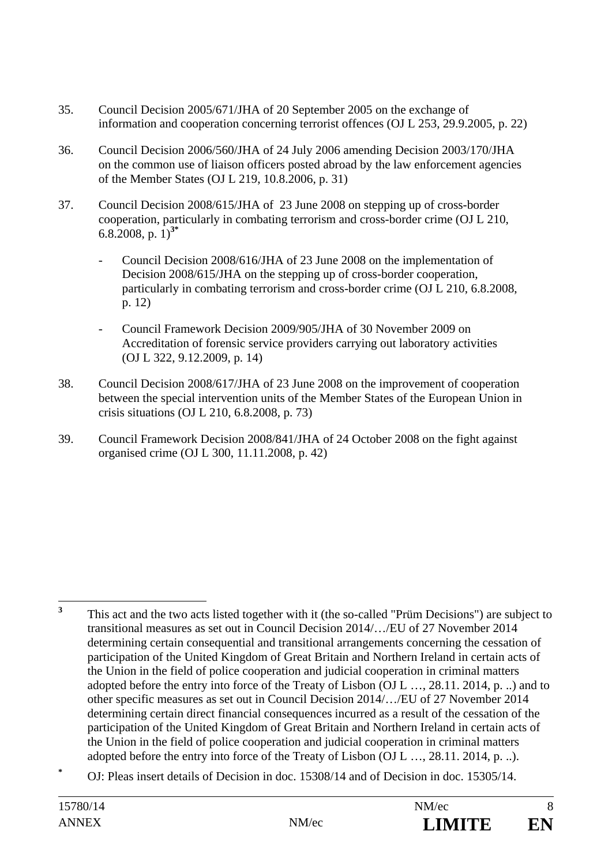- 35. Council Decision 2005/671/JHA of 20 September 2005 on the exchange of information and cooperation concerning terrorist offences (OJ L 253, 29.9.2005, p. 22)
- 36. Council Decision 2006/560/JHA of 24 July 2006 amending Decision 2003/170/JHA on the common use of liaison officers posted abroad by the law enforcement agencies of the Member States (OJ L 219, 10.8.2006, p. 31)
- 37. Council Decision 2008/615/JHA of 23 June 2008 on stepping up of cross-border cooperation, particularly in combating terrorism and cross-border crime (OJ L 210, 6.8.2008, p. 1)**3\***
	- Council Decision 2008/616/JHA of 23 June 2008 on the implementation of Decision 2008/615/JHA on the stepping up of cross-border cooperation, particularly in combating terrorism and cross-border crime (OJ L 210, 6.8.2008, p. 12)
	- Council Framework Decision 2009/905/JHA of 30 November 2009 on Accreditation of forensic service providers carrying out laboratory activities (OJ L 322, 9.12.2009, p. 14)
- 38. Council Decision 2008/617/JHA of 23 June 2008 on the improvement of cooperation between the special intervention units of the Member States of the European Union in crisis situations (OJ L 210, 6.8.2008, p. 73)
- 39. Council Framework Decision 2008/841/JHA of 24 October 2008 on the fight against organised crime (OJ L 300, 11.11.2008, p. 42)

 **3** This act and the two acts listed together with it (the so-called "Prüm Decisions") are subject to transitional measures as set out in Council Decision 2014/…/EU of 27 November 2014 determining certain consequential and transitional arrangements concerning the cessation of participation of the United Kingdom of Great Britain and Northern Ireland in certain acts of the Union in the field of police cooperation and judicial cooperation in criminal matters adopted before the entry into force of the Treaty of Lisbon (OJ L …, 28.11. 2014, p. ..) and to other specific measures as set out in Council Decision 2014/…/EU of 27 November 2014 determining certain direct financial consequences incurred as a result of the cessation of the participation of the United Kingdom of Great Britain and Northern Ireland in certain acts of the Union in the field of police cooperation and judicial cooperation in criminal matters adopted before the entry into force of the Treaty of Lisbon (OJ L …, 28.11. 2014, p. ..).

**<sup>\*</sup>** OJ: Pleas insert details of Decision in doc. 15308/14 and of Decision in doc. 15305/14.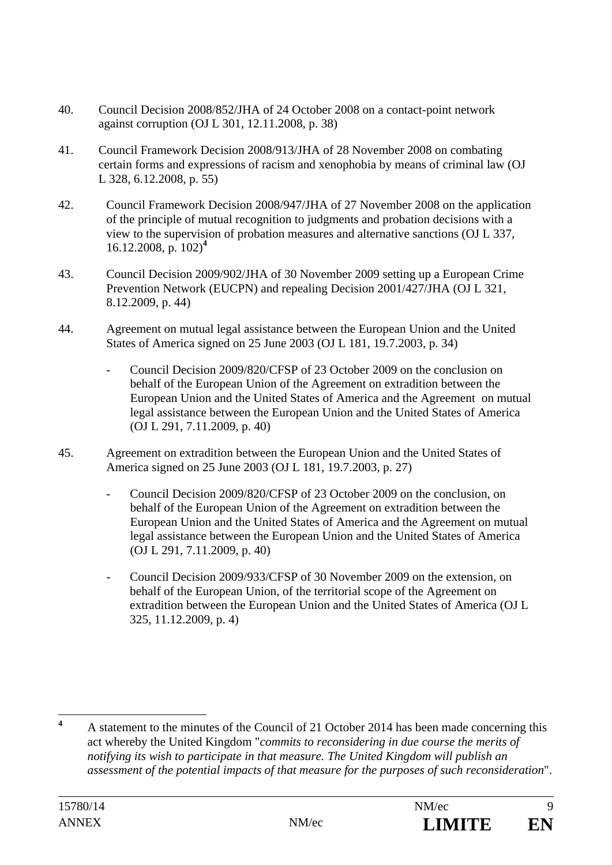- 40. Council Decision 2008/852/JHA of 24 October 2008 on a contact-point network against corruption (OJ L 301, 12.11.2008, p. 38)
- 41. Council Framework Decision 2008/913/JHA of 28 November 2008 on combating certain forms and expressions of racism and xenophobia by means of criminal law (OJ L 328, 6.12.2008, p. 55)
- 42. Council Framework Decision 2008/947/JHA of 27 November 2008 on the application of the principle of mutual recognition to judgments and probation decisions with a view to the supervision of probation measures and alternative sanctions (OJ L 337, 16.12.2008, p. 102)**<sup>4</sup>**
- 43. Council Decision 2009/902/JHA of 30 November 2009 setting up a European Crime Prevention Network (EUCPN) and repealing Decision 2001/427/JHA (OJ L 321, 8.12.2009, p. 44)
- 44. Agreement on mutual legal assistance between the European Union and the United States of America signed on 25 June 2003 (OJ L 181, 19.7.2003, p. 34)
	- Council Decision 2009/820/CFSP of 23 October 2009 on the conclusion on behalf of the European Union of the Agreement on extradition between the European Union and the United States of America and the Agreement on mutual legal assistance between the European Union and the United States of America (OJ L 291, 7.11.2009, p. 40)
- 45. Agreement on extradition between the European Union and the United States of America signed on 25 June 2003 (OJ L 181, 19.7.2003, p. 27)
	- Council Decision 2009/820/CFSP of 23 October 2009 on the conclusion, on behalf of the European Union of the Agreement on extradition between the European Union and the United States of America and the Agreement on mutual legal assistance between the European Union and the United States of America (OJ L 291, 7.11.2009, p. 40)
	- Council Decision 2009/933/CFSP of 30 November 2009 on the extension, on behalf of the European Union, of the territorial scope of the Agreement on extradition between the European Union and the United States of America (OJ L 325, 11.12.2009, p. 4)

 **4** A statement to the minutes of the Council of 21 October 2014 has been made concerning this act whereby the United Kingdom "*commits to reconsidering in due course the merits of notifying its wish to participate in that measure. The United Kingdom will publish an assessment of the potential impacts of that measure for the purposes of such reconsideration*".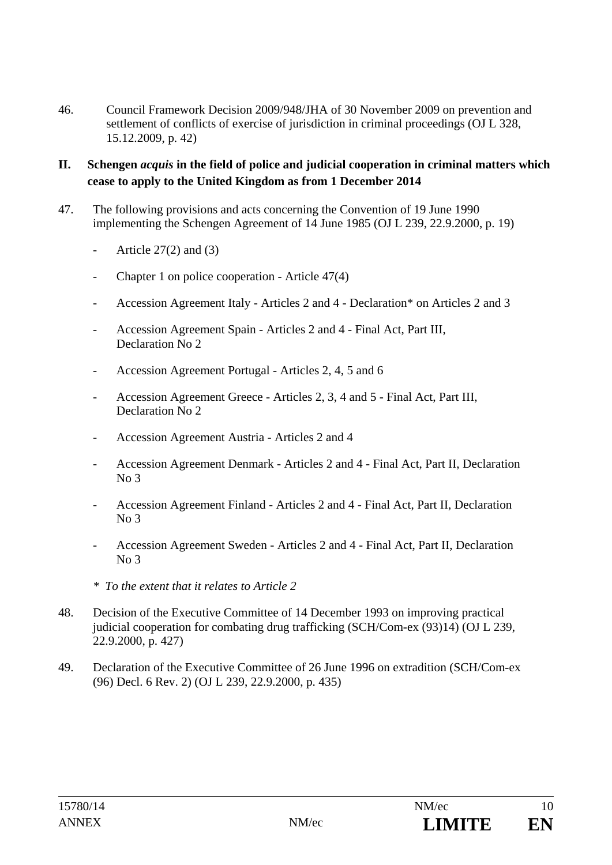46. Council Framework Decision 2009/948/JHA of 30 November 2009 on prevention and settlement of conflicts of exercise of jurisdiction in criminal proceedings (OJ L 328, 15.12.2009, p. 42)

## **II. Schengen** *acquis* **in the field of police and judicial cooperation in criminal matters which cease to apply to the United Kingdom as from 1 December 2014**

- 47. The following provisions and acts concerning the Convention of 19 June 1990 implementing the Schengen Agreement of 14 June 1985 (OJ L 239, 22.9.2000, p. 19)
	- Article  $27(2)$  and  $(3)$
	- Chapter 1 on police cooperation Article 47(4)
	- Accession Agreement Italy Articles 2 and 4 Declaration\* on Articles 2 and 3
	- Accession Agreement Spain Articles 2 and 4 Final Act, Part III, Declaration No 2
	- Accession Agreement Portugal Articles 2, 4, 5 and 6
	- Accession Agreement Greece Articles 2, 3, 4 and 5 Final Act, Part III, Declaration No 2
	- Accession Agreement Austria Articles 2 and 4
	- Accession Agreement Denmark Articles 2 and 4 Final Act, Part II, Declaration No 3
	- Accession Agreement Finland Articles 2 and 4 Final Act, Part II, Declaration  $No<sub>3</sub>$
	- Accession Agreement Sweden Articles 2 and 4 Final Act, Part II, Declaration No 3
	- *\* To the extent that it relates to Article 2*
- 48. Decision of the Executive Committee of 14 December 1993 on improving practical judicial cooperation for combating drug trafficking (SCH/Com-ex (93)14) (OJ L 239, 22.9.2000, p. 427)
- 49. Declaration of the Executive Committee of 26 June 1996 on extradition (SCH/Com-ex (96) Decl. 6 Rev. 2) (OJ L 239, 22.9.2000, p. 435)